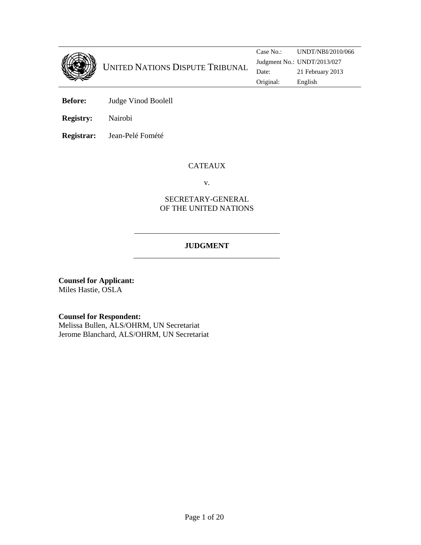

**Before:** Judge Vinod Boolell

**Registry:** Nairobi

**Registrar:** Jean-Pelé Fomété

# CATEAUX

v.

# SECRETARY-GENERAL OF THE UNITED NATIONS

# **JUDGMENT**

**Counsel for Applicant:**  Miles Hastie, OSLA

**Counsel for Respondent:** 

Melissa Bullen, ALS/OHRM, UN Secretariat Jerome Blanchard, ALS/OHRM, UN Secretariat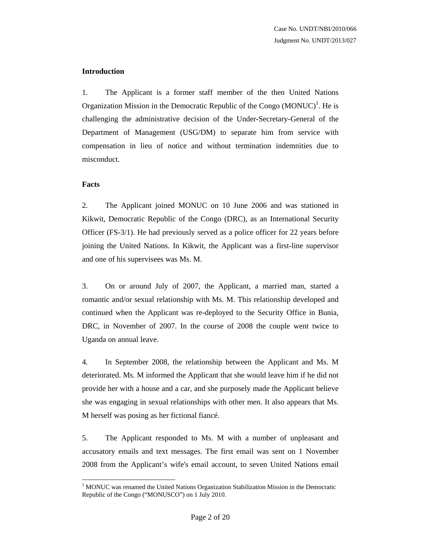### **Introduction**

1. The Applicant is a former staff member of the then United Nations Organization Mission in the Democratic Republic of the Congo  $(MONUC)^{1}$ . He is challenging the administrative decision of the Under-Secretary-General of the Department of Management (USG/DM) to separate him from service with compensation in lieu of notice and without termination indemnities due to misconduct.

### **Facts**

2. The Applicant joined MONUC on 10 June 2006 and was stationed in Kikwit, Democratic Republic of the Congo (DRC), as an International Security Officer (FS-3/1). He had previously served as a police officer for 22 years before joining the United Nations. In Kikwit, the Applicant was a first-line supervisor and one of his supervisees was Ms. M.

3. On or around July of 2007, the Applicant, a married man, started a romantic and/or sexual relationship with Ms. M. This relationship developed and continued when the Applicant was re-deployed to the Security Office in Bunia, DRC, in November of 2007. In the course of 2008 the couple went twice to Uganda on annual leave.

4. In September 2008, the relationship between the Applicant and Ms. M deteriorated. Ms. M informed the Applicant that she would leave him if he did not provide her with a house and a car, and she purposely made the Applicant believe she was engaging in sexual relationships with other men. It also appears that Ms. M herself was posing as her fictional fiancé.

5. The Applicant responded to Ms. M with a number of unpleasant and accusatory emails and text messages. The first email was sent on 1 November 2008 from the Applicant's wife's email account, to seven United Nations email

l <sup>1</sup> MONUC was renamed the United Nations Organization Stabilization Mission in the Democratic Republic of the Congo ("MONUSCO") on 1 July 2010.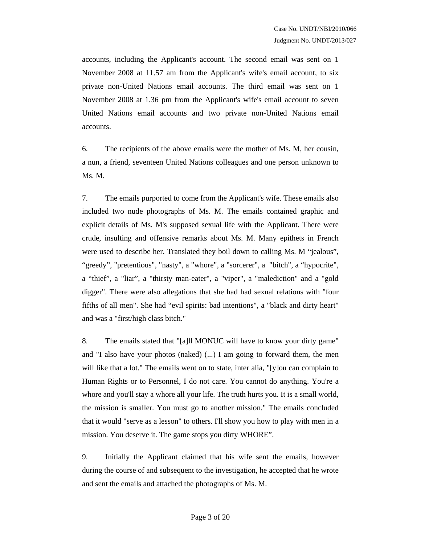accounts, including the Applicant's account. The second email was sent on 1 November 2008 at 11.57 am from the Applicant's wife's email account, to six private non-United Nations email accounts. The third email was sent on 1 November 2008 at 1.36 pm from the Applicant's wife's email account to seven United Nations email accounts and two private non-United Nations email accounts.

6. The recipients of the above emails were the mother of Ms. M, her cousin, a nun, a friend, seventeen United Nations colleagues and one person unknown to Ms. M.

7. The emails purported to come from the Applicant's wife. These emails also included two nude photographs of Ms. M. The emails contained graphic and explicit details of Ms. M's supposed sexual life with the Applicant. There were crude, insulting and offensive remarks about Ms. M. Many epithets in French were used to describe her. Translated they boil down to calling Ms. M "jealous", "greedy", "pretentious", "nasty", a "whore", a "sorcerer", a "bitch", a "hypocrite", a "thief", a "liar", a "thirsty man-eater", a "viper", a "malediction" and a "gold digger". There were also allegations that she had had sexual relations with "four fifths of all men". She had "evil spirits: bad intentions", a "black and dirty heart" and was a "first/high class bitch."

8. The emails stated that "[a]ll MONUC will have to know your dirty game" and "I also have your photos (naked) (...) I am going to forward them, the men will like that a lot." The emails went on to state, inter alia, "[y] ou can complain to Human Rights or to Personnel, I do not care. You cannot do anything. You're a whore and you'll stay a whore all your life. The truth hurts you. It is a small world, the mission is smaller. You must go to another mission." The emails concluded that it would "serve as a lesson" to others. I'll show you how to play with men in a mission. You deserve it. The game stops you dirty WHORE".

9. Initially the Applicant claimed that his wife sent the emails, however during the course of and subsequent to the investigation, he accepted that he wrote and sent the emails and attached the photographs of Ms. M.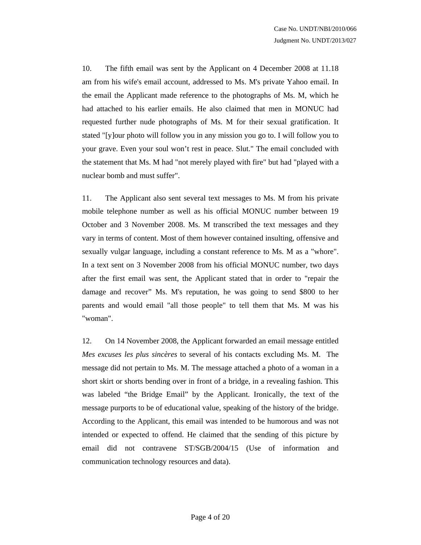10. The fifth email was sent by the Applicant on 4 December 2008 at 11.18 am from his wife's email account, addressed to Ms. M's private Yahoo email. In the email the Applicant made reference to the photographs of Ms. M, which he had attached to his earlier emails. He also claimed that men in MONUC had requested further nude photographs of Ms. M for their sexual gratification. It stated "[y]our photo will follow you in any mission you go to. I will follow you to your grave. Even your soul won't rest in peace. Slut." The email concluded with the statement that Ms. M had "not merely played with fire" but had "played with a nuclear bomb and must suffer".

11. The Applicant also sent several text messages to Ms. M from his private mobile telephone number as well as his official MONUC number between 19 October and 3 November 2008. Ms. M transcribed the text messages and they vary in terms of content. Most of them however contained insulting, offensive and sexually vulgar language, including a constant reference to Ms. M as a "whore". In a text sent on 3 November 2008 from his official MONUC number, two days after the first email was sent, the Applicant stated that in order to "repair the damage and recover" Ms. M's reputation, he was going to send \$800 to her parents and would email "all those people" to tell them that Ms. M was his "woman".

12. On 14 November 2008, the Applicant forwarded an email message entitled *Mes excuses les plus sincères* to several of his contacts excluding Ms. M. The message did not pertain to Ms. M. The message attached a photo of a woman in a short skirt or shorts bending over in front of a bridge, in a revealing fashion. This was labeled "the Bridge Email" by the Applicant. Ironically, the text of the message purports to be of educational value, speaking of the history of the bridge. According to the Applicant, this email was intended to be humorous and was not intended or expected to offend. He claimed that the sending of this picture by email did not contravene ST/SGB/2004/15 (Use of information and communication technology resources and data).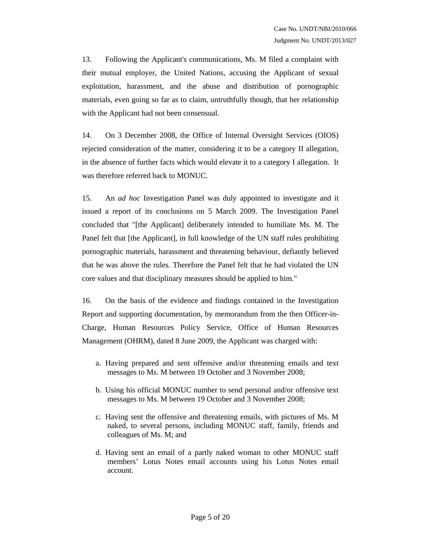13. Following the Applicant's communications, Ms. M filed a complaint with their mutual employer, the United Nations, accusing the Applicant of sexual exploitation, harassment, and the abuse and distribution of pornographic materials, even going so far as to claim, untruthfully though, that her relationship with the Applicant had not been consensual.

14. On 3 December 2008, the Office of Internal Oversight Services (OIOS) rejected consideration of the matter, considering it to be a category II allegation, in the absence of further facts which would elevate it to a category I allegation. It was therefore referred back to MONUC.

15. An *ad hoc* Investigation Panel was duly appointed to investigate and it issued a report of its conclusions on 5 March 2009. The Investigation Panel concluded that "[the Applicant] deliberately intended to humiliate Ms. M. The Panel felt that [the Applicant], in full knowledge of the UN staff rules prohibiting pornographic materials, harassment and threatening behaviour, defiantly believed that he was above the rules. Therefore the Panel felt that he had violated the UN core values and that disciplinary measures should be applied to him."

16. On the basis of the evidence and findings contained in the Investigation Report and supporting documentation, by memorandum from the then Officer-in-Charge, Human Resources Policy Service, Office of Human Resources Management (OHRM), dated 8 June 2009, the Applicant was charged with:

- a. Having prepared and sent offensive and/or threatening emails and text messages to Ms. M between 19 October and 3 November 2008;
- b. Using his official MONUC number to send personal and/or offensive text messages to Ms. M between 19 October and 3 November 2008;
- c. Having sent the offensive and threatening emails, with pictures of Ms. M naked, to several persons, including MONUC staff, family, friends and colleagues of Ms. M; and
- d. Having sent an email of a partly naked woman to other MONUC staff members' Lotus Notes email accounts using his Lotus Notes email account.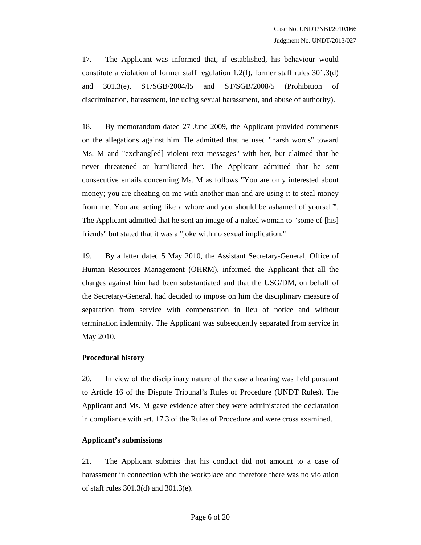17. The Applicant was informed that, if established, his behaviour would constitute a violation of former staff regulation 1.2(f), former staff rules  $301.3(d)$ and 301.3(e), ST/SGB/2004/l5 and ST/SGB/2008/5 (Prohibition of discrimination, harassment, including sexual harassment, and abuse of authority).

18. By memorandum dated 27 June 2009, the Applicant provided comments on the allegations against him. He admitted that he used "harsh words" toward Ms. M and "exchang[ed] violent text messages" with her, but claimed that he never threatened or humiliated her. The Applicant admitted that he sent consecutive emails concerning Ms. M as follows "You are only interested about money; you are cheating on me with another man and are using it to steal money from me. You are acting like a whore and you should be ashamed of yourself". The Applicant admitted that he sent an image of a naked woman to "some of [his] friends" but stated that it was a "joke with no sexual implication."

19. By a letter dated 5 May 2010, the Assistant Secretary-General, Office of Human Resources Management (OHRM), informed the Applicant that all the charges against him had been substantiated and that the USG/DM, on behalf of the Secretary-General, had decided to impose on him the disciplinary measure of separation from service with compensation in lieu of notice and without termination indemnity. The Applicant was subsequently separated from service in May 2010.

### **Procedural history**

20. In view of the disciplinary nature of the case a hearing was held pursuant to Article 16 of the Dispute Tribunal's Rules of Procedure (UNDT Rules). The Applicant and Ms. M gave evidence after they were administered the declaration in compliance with art. 17.3 of the Rules of Procedure and were cross examined.

### **Applicant's submissions**

21. The Applicant submits that his conduct did not amount to a case of harassment in connection with the workplace and therefore there was no violation of staff rules 301.3(d) and 301.3(e).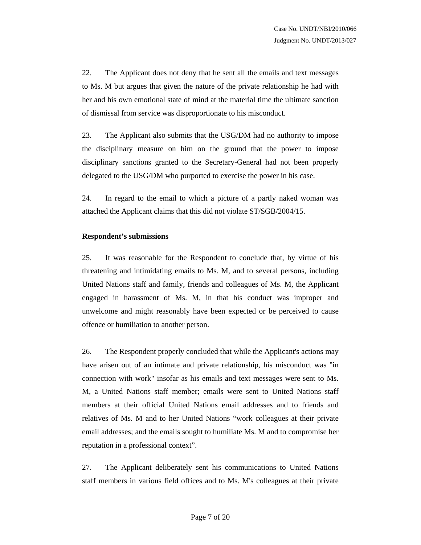22. The Applicant does not deny that he sent all the emails and text messages to Ms. M but argues that given the nature of the private relationship he had with her and his own emotional state of mind at the material time the ultimate sanction of dismissal from service was disproportionate to his misconduct.

23. The Applicant also submits that the USG/DM had no authority to impose the disciplinary measure on him on the ground that the power to impose disciplinary sanctions granted to the Secretary-General had not been properly delegated to the USG/DM who purported to exercise the power in his case.

24. In regard to the email to which a picture of a partly naked woman was attached the Applicant claims that this did not violate ST/SGB/2004/15.

### **Respondent's submissions**

25. It was reasonable for the Respondent to conclude that, by virtue of his threatening and intimidating emails to Ms. M, and to several persons, including United Nations staff and family, friends and colleagues of Ms. M, the Applicant engaged in harassment of Ms. M, in that his conduct was improper and unwelcome and might reasonably have been expected or be perceived to cause offence or humiliation to another person.

26. The Respondent properly concluded that while the Applicant's actions may have arisen out of an intimate and private relationship, his misconduct was "in connection with work" insofar as his emails and text messages were sent to Ms. M, a United Nations staff member; emails were sent to United Nations staff members at their official United Nations email addresses and to friends and relatives of Ms. M and to her United Nations "work colleagues at their private email addresses; and the emails sought to humiliate Ms. M and to compromise her reputation in a professional context".

27. The Applicant deliberately sent his communications to United Nations staff members in various field offices and to Ms. M's colleagues at their private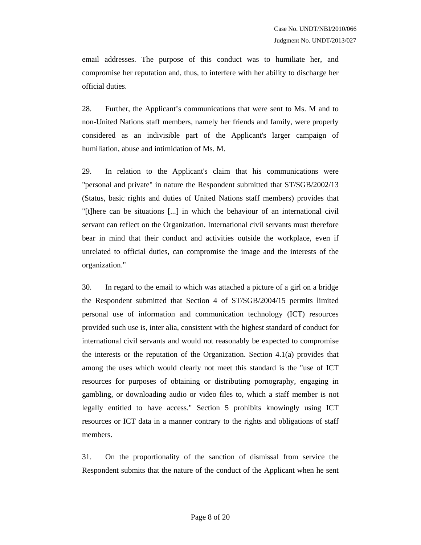email addresses. The purpose of this conduct was to humiliate her, and compromise her reputation and, thus, to interfere with her ability to discharge her official duties.

28. Further, the Applicant's communications that were sent to Ms. M and to non-United Nations staff members, namely her friends and family, were properly considered as an indivisible part of the Applicant's larger campaign of humiliation, abuse and intimidation of Ms. M.

29. In relation to the Applicant's claim that his communications were "personal and private" in nature the Respondent submitted that ST/SGB/2002/13 (Status, basic rights and duties of United Nations staff members) provides that "[t]here can be situations [...] in which the behaviour of an international civil servant can reflect on the Organization. International civil servants must therefore bear in mind that their conduct and activities outside the workplace, even if unrelated to official duties, can compromise the image and the interests of the organization."

30. In regard to the email to which was attached a picture of a girl on a bridge the Respondent submitted that Section 4 of ST/SGB/2004/15 permits limited personal use of information and communication technology (ICT) resources provided such use is, inter alia, consistent with the highest standard of conduct for international civil servants and would not reasonably be expected to compromise the interests or the reputation of the Organization. Section 4.1(a) provides that among the uses which would clearly not meet this standard is the "use of ICT resources for purposes of obtaining or distributing pornography, engaging in gambling, or downloading audio or video files to, which a staff member is not legally entitled to have access." Section 5 prohibits knowingly using ICT resources or ICT data in a manner contrary to the rights and obligations of staff members.

31. On the proportionality of the sanction of dismissal from service the Respondent submits that the nature of the conduct of the Applicant when he sent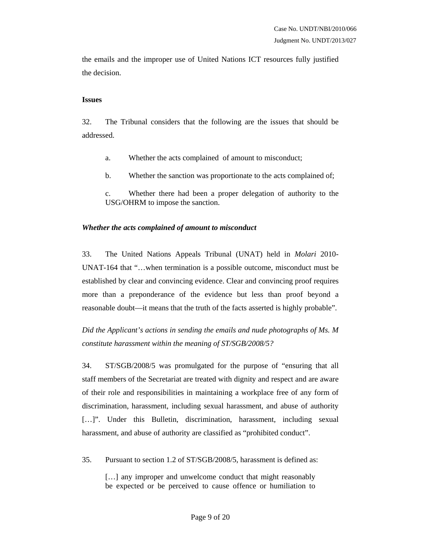the emails and the improper use of United Nations ICT resources fully justified the decision.

#### **Issues**

32. The Tribunal considers that the following are the issues that should be addressed.

- a. Whether the acts complained of amount to misconduct;
- b. Whether the sanction was proportionate to the acts complained of;
- c. Whether there had been a proper delegation of authority to the USG/OHRM to impose the sanction.

### *Whether the acts complained of amount to misconduct*

33. The United Nations Appeals Tribunal (UNAT) held in *Molari* 2010- UNAT-164 that "…when termination is a possible outcome, misconduct must be established by clear and convincing evidence. Clear and convincing proof requires more than a preponderance of the evidence but less than proof beyond a reasonable doubt—it means that the truth of the facts asserted is highly probable".

*Did the Applicant's actions in sending the emails and nude photographs of Ms. M constitute harassment within the meaning of ST/SGB/2008/5?* 

34. ST/SGB/2008/5 was promulgated for the purpose of "ensuring that all staff members of the Secretariat are treated with dignity and respect and are aware of their role and responsibilities in maintaining a workplace free of any form of discrimination, harassment, including sexual harassment, and abuse of authority [...]". Under this Bulletin, discrimination, harassment, including sexual harassment, and abuse of authority are classified as "prohibited conduct".

35. Pursuant to section 1.2 of ST/SGB/2008/5, harassment is defined as:

[...] any improper and unwelcome conduct that might reasonably be expected or be perceived to cause offence or humiliation to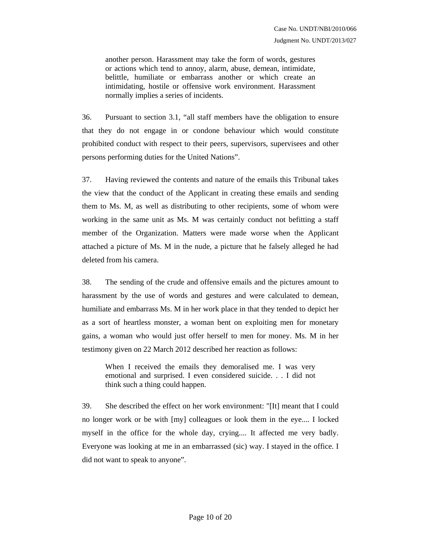another person. Harassment may take the form of words, gestures or actions which tend to annoy, alarm, abuse, demean, intimidate, belittle, humiliate or embarrass another or which create an intimidating, hostile or offensive work environment. Harassment normally implies a series of incidents.

36. Pursuant to section 3.1, "all staff members have the obligation to ensure that they do not engage in or condone behaviour which would constitute prohibited conduct with respect to their peers, supervisors, supervisees and other persons performing duties for the United Nations".

37. Having reviewed the contents and nature of the emails this Tribunal takes the view that the conduct of the Applicant in creating these emails and sending them to Ms. M, as well as distributing to other recipients, some of whom were working in the same unit as Ms. M was certainly conduct not befitting a staff member of the Organization. Matters were made worse when the Applicant attached a picture of Ms. M in the nude, a picture that he falsely alleged he had deleted from his camera.

38. The sending of the crude and offensive emails and the pictures amount to harassment by the use of words and gestures and were calculated to demean, humiliate and embarrass Ms. M in her work place in that they tended to depict her as a sort of heartless monster, a woman bent on exploiting men for monetary gains, a woman who would just offer herself to men for money. Ms. M in her testimony given on 22 March 2012 described her reaction as follows:

When I received the emails they demoralised me. I was very emotional and surprised. I even considered suicide. . . I did not think such a thing could happen.

39. She described the effect on her work environment: "[It] meant that I could no longer work or be with [my] colleagues or look them in the eye.... I locked myself in the office for the whole day, crying.... It affected me very badly. Everyone was looking at me in an embarrassed (sic) way. I stayed in the office. I did not want to speak to anyone".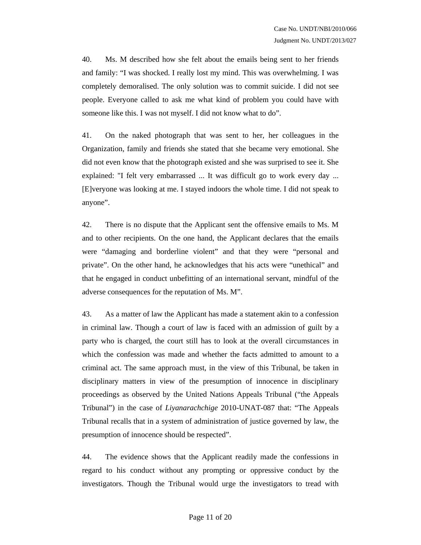40. Ms. M described how she felt about the emails being sent to her friends and family: "I was shocked. I really lost my mind. This was overwhelming. I was completely demoralised. The only solution was to commit suicide. I did not see people. Everyone called to ask me what kind of problem you could have with someone like this. I was not myself. I did not know what to do".

41. On the naked photograph that was sent to her, her colleagues in the Organization, family and friends she stated that she became very emotional. She did not even know that the photograph existed and she was surprised to see it. She explained: "I felt very embarrassed ... It was difficult go to work every day ... [E]veryone was looking at me. I stayed indoors the whole time. I did not speak to anyone".

42. There is no dispute that the Applicant sent the offensive emails to Ms. M and to other recipients. On the one hand, the Applicant declares that the emails were "damaging and borderline violent" and that they were "personal and private". On the other hand, he acknowledges that his acts were "unethical" and that he engaged in conduct unbefitting of an international servant, mindful of the adverse consequences for the reputation of Ms. M".

43. As a matter of law the Applicant has made a statement akin to a confession in criminal law. Though a court of law is faced with an admission of guilt by a party who is charged, the court still has to look at the overall circumstances in which the confession was made and whether the facts admitted to amount to a criminal act. The same approach must, in the view of this Tribunal, be taken in disciplinary matters in view of the presumption of innocence in disciplinary proceedings as observed by the United Nations Appeals Tribunal ("the Appeals Tribunal") in the case of *Liyanarachchige* 2010-UNAT-087 that: "The Appeals Tribunal recalls that in a system of administration of justice governed by law, the presumption of innocence should be respected".

44. The evidence shows that the Applicant readily made the confessions in regard to his conduct without any prompting or oppressive conduct by the investigators. Though the Tribunal would urge the investigators to tread with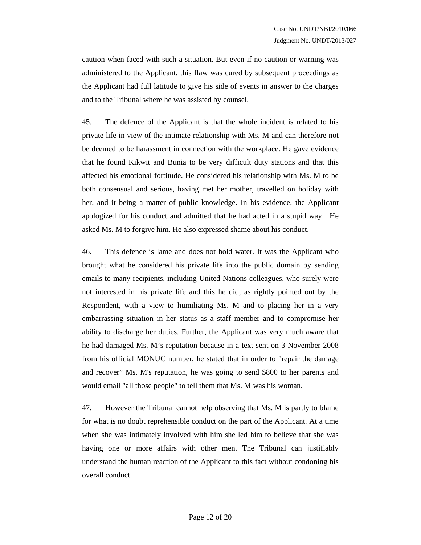caution when faced with such a situation. But even if no caution or warning was administered to the Applicant, this flaw was cured by subsequent proceedings as the Applicant had full latitude to give his side of events in answer to the charges and to the Tribunal where he was assisted by counsel.

45. The defence of the Applicant is that the whole incident is related to his private life in view of the intimate relationship with Ms. M and can therefore not be deemed to be harassment in connection with the workplace. He gave evidence that he found Kikwit and Bunia to be very difficult duty stations and that this affected his emotional fortitude. He considered his relationship with Ms. M to be both consensual and serious, having met her mother, travelled on holiday with her, and it being a matter of public knowledge. In his evidence, the Applicant apologized for his conduct and admitted that he had acted in a stupid way. He asked Ms. M to forgive him. He also expressed shame about his conduct.

46. This defence is lame and does not hold water. It was the Applicant who brought what he considered his private life into the public domain by sending emails to many recipients, including United Nations colleagues, who surely were not interested in his private life and this he did, as rightly pointed out by the Respondent, with a view to humiliating Ms. M and to placing her in a very embarrassing situation in her status as a staff member and to compromise her ability to discharge her duties. Further, the Applicant was very much aware that he had damaged Ms. M's reputation because in a text sent on 3 November 2008 from his official MONUC number, he stated that in order to "repair the damage and recover" Ms. M's reputation, he was going to send \$800 to her parents and would email "all those people" to tell them that Ms. M was his woman.

47. However the Tribunal cannot help observing that Ms. M is partly to blame for what is no doubt reprehensible conduct on the part of the Applicant. At a time when she was intimately involved with him she led him to believe that she was having one or more affairs with other men. The Tribunal can justifiably understand the human reaction of the Applicant to this fact without condoning his overall conduct.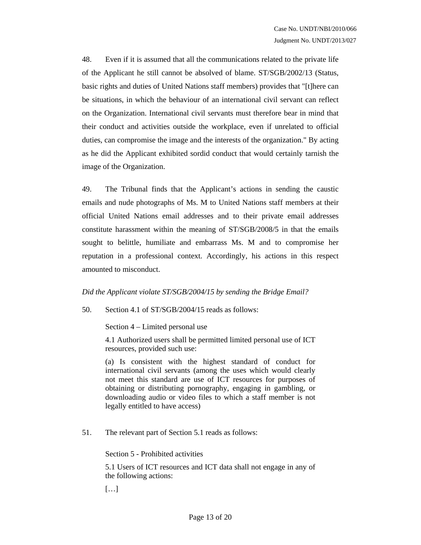48. Even if it is assumed that all the communications related to the private life of the Applicant he still cannot be absolved of blame. ST/SGB/2002/13 (Status, basic rights and duties of United Nations staff members) provides that "[t]here can be situations, in which the behaviour of an international civil servant can reflect on the Organization. International civil servants must therefore bear in mind that their conduct and activities outside the workplace, even if unrelated to official duties, can compromise the image and the interests of the organization." By acting as he did the Applicant exhibited sordid conduct that would certainly tarnish the image of the Organization.

49. The Tribunal finds that the Applicant's actions in sending the caustic emails and nude photographs of Ms. M to United Nations staff members at their official United Nations email addresses and to their private email addresses constitute harassment within the meaning of ST/SGB/2008/5 in that the emails sought to belittle, humiliate and embarrass Ms. M and to compromise her reputation in a professional context. Accordingly, his actions in this respect amounted to misconduct.

### *Did the Applicant violate ST/SGB/2004/15 by sending the Bridge Email?*

50. Section 4.1 of ST/SGB/2004/15 reads as follows:

Section 4 – Limited personal use

4.1 Authorized users shall be permitted limited personal use of ICT resources, provided such use:

(a) Is consistent with the highest standard of conduct for international civil servants (among the uses which would clearly not meet this standard are use of ICT resources for purposes of obtaining or distributing pornography, engaging in gambling, or downloading audio or video files to which a staff member is not legally entitled to have access)

51. The relevant part of Section 5.1 reads as follows:

Section 5 - Prohibited activities

5.1 Users of ICT resources and ICT data shall not engage in any of the following actions:

[…]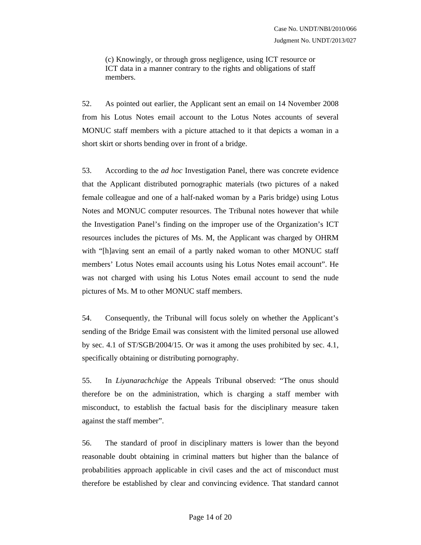(c) Knowingly, or through gross negligence, using ICT resource or ICT data in a manner contrary to the rights and obligations of staff members.

52. As pointed out earlier, the Applicant sent an email on 14 November 2008 from his Lotus Notes email account to the Lotus Notes accounts of several MONUC staff members with a picture attached to it that depicts a woman in a short skirt or shorts bending over in front of a bridge.

53. According to the *ad hoc* Investigation Panel, there was concrete evidence that the Applicant distributed pornographic materials (two pictures of a naked female colleague and one of a half-naked woman by a Paris bridge) using Lotus Notes and MONUC computer resources. The Tribunal notes however that while the Investigation Panel's finding on the improper use of the Organization's ICT resources includes the pictures of Ms. M, the Applicant was charged by OHRM with "[h]aving sent an email of a partly naked woman to other MONUC staff members' Lotus Notes email accounts using his Lotus Notes email account". He was not charged with using his Lotus Notes email account to send the nude pictures of Ms. M to other MONUC staff members.

54. Consequently, the Tribunal will focus solely on whether the Applicant's sending of the Bridge Email was consistent with the limited personal use allowed by sec. 4.1 of ST/SGB/2004/15. Or was it among the uses prohibited by sec. 4.1, specifically obtaining or distributing pornography.

55. In *Liyanarachchige* the Appeals Tribunal observed: "The onus should therefore be on the administration, which is charging a staff member with misconduct, to establish the factual basis for the disciplinary measure taken against the staff member".

56. The standard of proof in disciplinary matters is lower than the beyond reasonable doubt obtaining in criminal matters but higher than the balance of probabilities approach applicable in civil cases and the act of misconduct must therefore be established by clear and convincing evidence. That standard cannot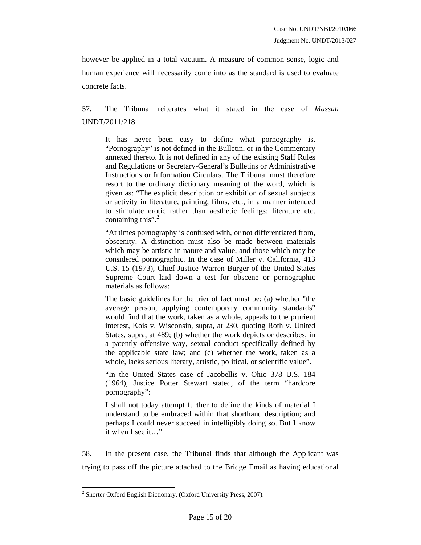however be applied in a total vacuum. A measure of common sense, logic and human experience will necessarily come into as the standard is used to evaluate concrete facts.

57. The Tribunal reiterates what it stated in the case of *Massah* UNDT/2011/218:

It has never been easy to define what pornography is. "Pornography" is not defined in the Bulletin, or in the Commentary annexed thereto. It is not defined in any of the existing Staff Rules and Regulations or Secretary-General's Bulletins or Administrative Instructions or Information Circulars. The Tribunal must therefore resort to the ordinary dictionary meaning of the word, which is given as: "The explicit description or exhibition of sexual subjects or activity in literature, painting, films, etc., in a manner intended to stimulate erotic rather than aesthetic feelings; literature etc. containing this".<sup>2</sup>

"At times pornography is confused with, or not differentiated from, obscenity. A distinction must also be made between materials which may be artistic in nature and value, and those which may be considered pornographic. In the case of Miller v. California, 413 U.S. 15 (1973), Chief Justice Warren Burger of the United States Supreme Court laid down a test for obscene or pornographic materials as follows:

The basic guidelines for the trier of fact must be: (a) whether "the average person, applying contemporary community standards" would find that the work, taken as a whole, appeals to the prurient interest, Kois v. Wisconsin, supra, at 230, quoting Roth v. United States, supra, at 489; (b) whether the work depicts or describes, in a patently offensive way, sexual conduct specifically defined by the applicable state law; and (c) whether the work, taken as a whole, lacks serious literary, artistic, political, or scientific value".

"In the United States case of Jacobellis v. Ohio 378 U.S. 184 (1964), Justice Potter Stewart stated, of the term "hardcore pornography":

I shall not today attempt further to define the kinds of material I understand to be embraced within that shorthand description; and perhaps I could never succeed in intelligibly doing so. But I know it when I see it…"

58. In the present case, the Tribunal finds that although the Applicant was trying to pass off the picture attached to the Bridge Email as having educational

 $\overline{a}$ 

<sup>&</sup>lt;sup>2</sup> Shorter Oxford English Dictionary, (Oxford University Press, 2007).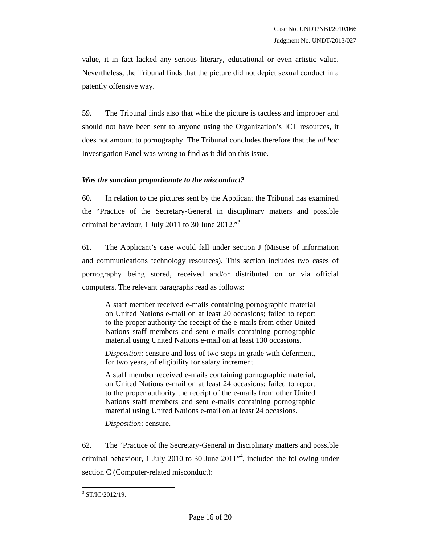value, it in fact lacked any serious literary, educational or even artistic value. Nevertheless, the Tribunal finds that the picture did not depict sexual conduct in a patently offensive way.

59. The Tribunal finds also that while the picture is tactless and improper and should not have been sent to anyone using the Organization's ICT resources, it does not amount to pornography. The Tribunal concludes therefore that the *ad hoc* Investigation Panel was wrong to find as it did on this issue.

### *Was the sanction proportionate to the misconduct?*

60. In relation to the pictures sent by the Applicant the Tribunal has examined the "Practice of the Secretary-General in disciplinary matters and possible criminal behaviour, 1 July 2011 to 30 June  $2012.^{3}$ 

61. The Applicant's case would fall under section J (Misuse of information and communications technology resources). This section includes two cases of pornography being stored, received and/or distributed on or via official computers. The relevant paragraphs read as follows:

A staff member received e-mails containing pornographic material on United Nations e-mail on at least 20 occasions; failed to report to the proper authority the receipt of the e-mails from other United Nations staff members and sent e-mails containing pornographic material using United Nations e-mail on at least 130 occasions.

*Disposition*: censure and loss of two steps in grade with deferment, for two years, of eligibility for salary increment.

A staff member received e-mails containing pornographic material, on United Nations e-mail on at least 24 occasions; failed to report to the proper authority the receipt of the e-mails from other United Nations staff members and sent e-mails containing pornographic material using United Nations e-mail on at least 24 occasions.

*Disposition*: censure.

62. The "Practice of the Secretary-General in disciplinary matters and possible criminal behaviour, 1 July 2010 to 30 June  $2011^{4}$ , included the following under section C (Computer-related misconduct):

<sup>&</sup>lt;sup>3</sup> ST/IC/2012/19.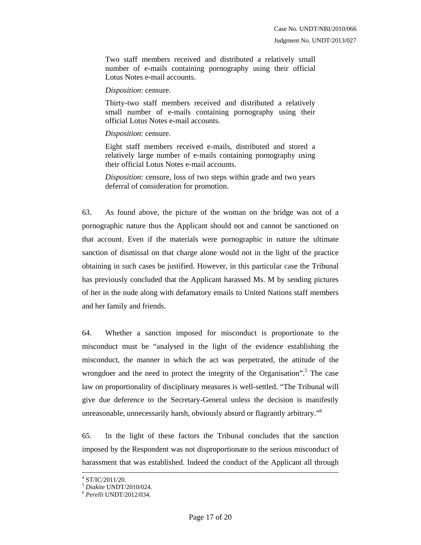Two staff members received and distributed a relatively small number of e-mails containing pornography using their official Lotus Notes e-mail accounts.

*Disposition*: censure.

Thirty-two staff members received and distributed a relatively small number of e-mails containing pornography using their official Lotus Notes e-mail accounts.

### *Disposition*: censure.

Eight staff members received e-mails, distributed and stored a relatively large number of e-mails containing pornography using their official Lotus Notes e-mail accounts.

*Disposition*: censure, loss of two steps within grade and two years deferral of consideration for promotion.

63. As found above, the picture of the woman on the bridge was not of a pornographic nature thus the Applicant should not and cannot be sanctioned on that account. Even if the materials were pornographic in nature the ultimate sanction of dismissal on that charge alone would not in the light of the practice obtaining in such cases be justified. However, in this particular case the Tribunal has previously concluded that the Applicant harassed Ms. M by sending pictures of her in the nude along with defamatory emails to United Nations staff members and her family and friends.

64. Whether a sanction imposed for misconduct is proportionate to the misconduct must be "analysed in the light of the evidence establishing the misconduct, the manner in which the act was perpetrated, the attitude of the wrongdoer and the need to protect the integrity of the Organisation".<sup>5</sup> The case law on proportionality of disciplinary measures is well-settled. "The Tribunal will give due deference to the Secretary-General unless the decision is manifestly unreasonable, unnecessarily harsh, obviously absurd or flagrantly arbitrary."<sup>6</sup>

65. In the light of these factors the Tribunal concludes that the sanction imposed by the Respondent was not disproportionate to the serious misconduct of harassment that was established. Indeed the conduct of the Applicant all through

 $\frac{1}{4}$  $4$  ST/IC/2011/20.

<sup>5</sup> *Diakite* UNDT/2010/024. 6 *Perelli* UNDT/2012/034.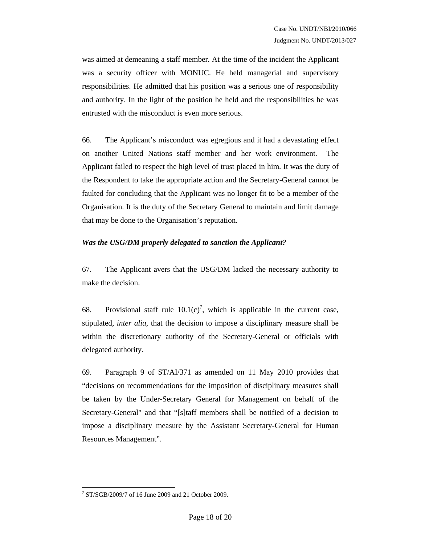was aimed at demeaning a staff member. At the time of the incident the Applicant was a security officer with MONUC. He held managerial and supervisory responsibilities. He admitted that his position was a serious one of responsibility and authority. In the light of the position he held and the responsibilities he was entrusted with the misconduct is even more serious.

66. The Applicant's misconduct was egregious and it had a devastating effect on another United Nations staff member and her work environment. The Applicant failed to respect the high level of trust placed in him. It was the duty of the Respondent to take the appropriate action and the Secretary-General cannot be faulted for concluding that the Applicant was no longer fit to be a member of the Organisation. It is the duty of the Secretary General to maintain and limit damage that may be done to the Organisation's reputation.

### *Was the USG/DM properly delegated to sanction the Applicant?*

67. The Applicant avers that the USG/DM lacked the necessary authority to make the decision.

68. Provisional staff rule  $10.1(c)^7$ , which is applicable in the current case, stipulated, *inter alia*, that the decision to impose a disciplinary measure shall be within the discretionary authority of the Secretary-General or officials with delegated authority.

69. Paragraph 9 of ST/AI/371 as amended on 11 May 2010 provides that "decisions on recommendations for the imposition of disciplinary measures shall be taken by the Under-Secretary General for Management on behalf of the Secretary-General" and that "[s]taff members shall be notified of a decision to impose a disciplinary measure by the Assistant Secretary-General for Human Resources Management".

 $\overline{a}$ 7 ST/SGB/2009/7 of 16 June 2009 and 21 October 2009.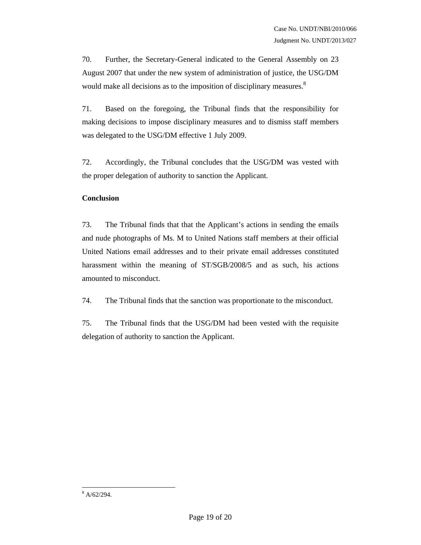70. Further, the Secretary-General indicated to the General Assembly on 23 August 2007 that under the new system of administration of justice, the USG/DM would make all decisions as to the imposition of disciplinary measures.<sup>8</sup>

71. Based on the foregoing, the Tribunal finds that the responsibility for making decisions to impose disciplinary measures and to dismiss staff members was delegated to the USG/DM effective 1 July 2009.

72. Accordingly, the Tribunal concludes that the USG/DM was vested with the proper delegation of authority to sanction the Applicant.

## **Conclusion**

73. The Tribunal finds that that the Applicant's actions in sending the emails and nude photographs of Ms. M to United Nations staff members at their official United Nations email addresses and to their private email addresses constituted harassment within the meaning of ST/SGB/2008/5 and as such, his actions amounted to misconduct.

74. The Tribunal finds that the sanction was proportionate to the misconduct.

75. The Tribunal finds that the USG/DM had been vested with the requisite delegation of authority to sanction the Applicant.

 $8 \text{ A}/62/294.$